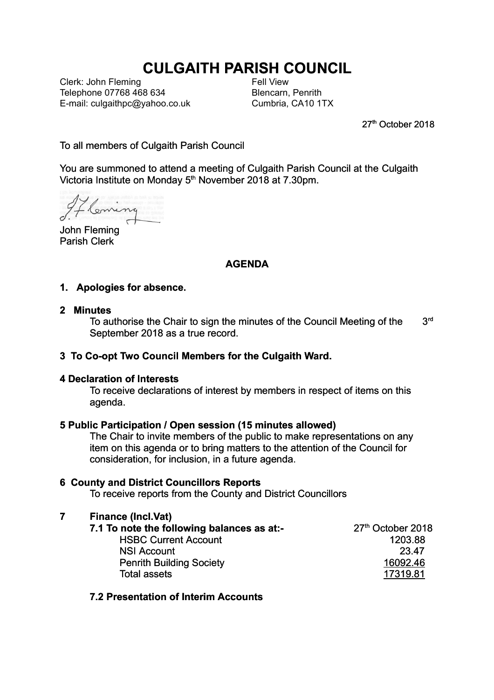# **CULGAITH PARISH COUNCIL**

Clerk: John Fleming Telephone 07768 468 634 E-mail: culgaithpc@yahoo.co.uk Fell View Blencarn, Penrith Cumbria, CA10 1TX

27<sup>th</sup> October 2018

To all members of Culgaith Parish Council

You are summoned to attend a meeting of Culgaith Parish Council at the Culgaith Victoria Institute on Monday 5<sup>th</sup> November 2018 at 7.30pm.

Coming

John Fleming Parish Clerk

## **AGENDA**

#### **1. Apologies for absence.**

#### **2 Minutes**

To authorise the Chair to sign the minutes of the Council Meeting of the  $3<sup>rd</sup>$ September 2018 as a true record.

#### **3 To Co-opt Two Council Members for the Culgaith Ward.**

#### **4 Declaration of Interests**

To receive declarations of interest by members in respect of items on this agenda.

#### **5 Public Participation / Open session (15 minutes allowed)**

The Chair to invite members of the public to make representations on any item on this agenda or to bring matters to the attention of the Council for consideration, for inclusion, in a future agenda.

#### **6 County and District Councillors Reports**

To receive reports from the County and District Councillors

#### **7 Finance (Incl.Vat)**

| 7.1 To note the following balances as at:- | 27th October 2018 |
|--------------------------------------------|-------------------|
| <b>HSBC Current Account</b>                | 1203.88           |
| <b>NSI Account</b>                         | 23.47             |
| <b>Penrith Building Society</b>            | 16092.46          |
| <b>Total assets</b>                        | 17319.81          |
|                                            |                   |

#### **7.2 Presentation of Interim Accounts**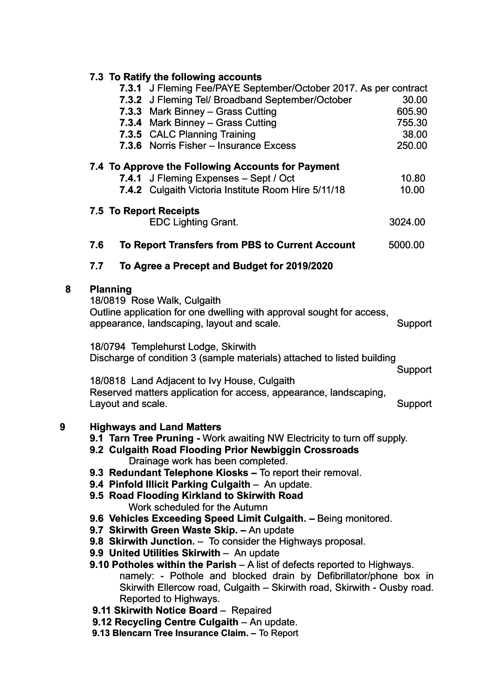|   | 7.3 To Ratify the following accounts                                                                                                                                                                                                                                                                                                                                                                                                                                                                                                                                                                                                      |         |
|---|-------------------------------------------------------------------------------------------------------------------------------------------------------------------------------------------------------------------------------------------------------------------------------------------------------------------------------------------------------------------------------------------------------------------------------------------------------------------------------------------------------------------------------------------------------------------------------------------------------------------------------------------|---------|
|   | 7.3.1 J Fleming Fee/PAYE September/October 2017. As per contract<br>7.3.2 J Fleming Tel/ Broadband September/October                                                                                                                                                                                                                                                                                                                                                                                                                                                                                                                      | 30.00   |
|   | 7.3.3 Mark Binney - Grass Cutting                                                                                                                                                                                                                                                                                                                                                                                                                                                                                                                                                                                                         | 605.90  |
|   | 7.3.4 Mark Binney - Grass Cutting                                                                                                                                                                                                                                                                                                                                                                                                                                                                                                                                                                                                         | 755.30  |
|   | 7.3.5 CALC Planning Training                                                                                                                                                                                                                                                                                                                                                                                                                                                                                                                                                                                                              | 38.00   |
|   | 7.3.6 Norris Fisher - Insurance Excess                                                                                                                                                                                                                                                                                                                                                                                                                                                                                                                                                                                                    | 250.00  |
|   | 7.4 To Approve the Following Accounts for Payment                                                                                                                                                                                                                                                                                                                                                                                                                                                                                                                                                                                         |         |
|   | 7.4.1 J Fleming Expenses - Sept / Oct                                                                                                                                                                                                                                                                                                                                                                                                                                                                                                                                                                                                     | 10.80   |
|   | 7.4.2 Culgaith Victoria Institute Room Hire 5/11/18                                                                                                                                                                                                                                                                                                                                                                                                                                                                                                                                                                                       | 10.00   |
|   | 7.5 To Report Receipts                                                                                                                                                                                                                                                                                                                                                                                                                                                                                                                                                                                                                    |         |
|   | <b>EDC Lighting Grant.</b>                                                                                                                                                                                                                                                                                                                                                                                                                                                                                                                                                                                                                | 3024.00 |
|   | 7.6<br>To Report Transfers from PBS to Current Account                                                                                                                                                                                                                                                                                                                                                                                                                                                                                                                                                                                    | 5000.00 |
|   | 7.7<br>To Agree a Precept and Budget for 2019/2020                                                                                                                                                                                                                                                                                                                                                                                                                                                                                                                                                                                        |         |
| 8 | <b>Planning</b><br>18/0819 Rose Walk, Culgaith<br>Outline application for one dwelling with approval sought for access,<br>appearance, landscaping, layout and scale.                                                                                                                                                                                                                                                                                                                                                                                                                                                                     | Support |
|   | 18/0794 Templehurst Lodge, Skirwith<br>Discharge of condition 3 (sample materials) attached to listed building                                                                                                                                                                                                                                                                                                                                                                                                                                                                                                                            | Support |
|   | 18/0818 Land Adjacent to Ivy House, Culgaith                                                                                                                                                                                                                                                                                                                                                                                                                                                                                                                                                                                              |         |
|   | Reserved matters application for access, appearance, landscaping,                                                                                                                                                                                                                                                                                                                                                                                                                                                                                                                                                                         |         |
|   | Layout and scale.                                                                                                                                                                                                                                                                                                                                                                                                                                                                                                                                                                                                                         | Support |
| 9 | <b>Highways and Land Matters</b><br>9.1 Tarn Tree Pruning - Work awaiting NW Electricity to turn off supply.<br>9.2 Culgaith Road Flooding Prior Newbiggin Crossroads<br>Drainage work has been completed.<br>9.3 Redundant Telephone Kiosks - To report their removal.<br>9.4 Pinfold Illicit Parking Culgaith - An update.<br>9.5 Road Flooding Kirkland to Skirwith Road<br>Work scheduled for the Autumn<br>9.6 Vehicles Exceeding Speed Limit Culgaith. - Being monitored.<br>9.7 Skirwith Green Waste Skip. - An update<br>9.8 Skirwith Junction. - To consider the Highways proposal.<br>9.9 United Utilities Skirwith - An update |         |

- **9.10 Potholes within the Parish**  A list of defects reported to Highways. namely: - Pothole and blocked drain by Defibrillator/phone box in Skirwith Ellercow road, Culgaith – Skirwith road, Skirwith - Ousby road. Reported to Highways.
- **9.11 Skirwith Notice Board**  Repaired
- **9.12 Recycling Centre Culgaith**  An update.
	- **9.13 Blencarn Tree Insurance Claim.** To Report